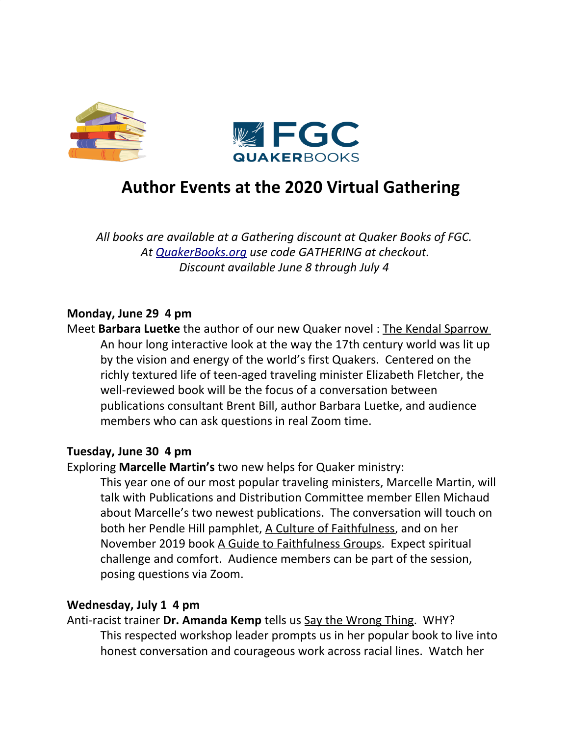



# **Author Events at the 2020 Virtual Gathering**

*All books are available at a Gathering discount at Quaker Books of FGC. At [QuakerBooks.org](http://quakerbooks.org/) use code GATHERING at checkout. Discount available June 8 through July 4*

# **Monday, June 29 4 pm**

Meet **Barbara Luetke** the author of our new Quaker novel : The Kendal Sparrow An hour long interactive look at the way the 17th century world was lit up by the vision and energy of the world's first Quakers. Centered on the richly textured life of teen-aged traveling minister Elizabeth Fletcher, the well-reviewed book will be the focus of a conversation between publications consultant Brent Bill, author Barbara Luetke, and audience members who can ask questions in real Zoom time.

# **Tuesday, June 30 4 pm**

# Exploring **Marcelle Martin's** two new helps for Quaker ministry:

This year one of our most popular traveling ministers, Marcelle Martin, will talk with Publications and Distribution Committee member Ellen Michaud about Marcelle's two newest publications. The conversation will touch on both her Pendle Hill pamphlet, A Culture of Faithfulness, and on her November 2019 book A Guide to Faithfulness Groups. Expect spiritual challenge and comfort. Audience members can be part of the session, posing questions via Zoom.

# **Wednesday, July 1 4 pm**

Anti-racist trainer **Dr. Amanda Kemp** tells us Say the Wrong Thing. WHY? This respected workshop leader prompts us in her popular book to live into honest conversation and courageous work across racial lines. Watch her